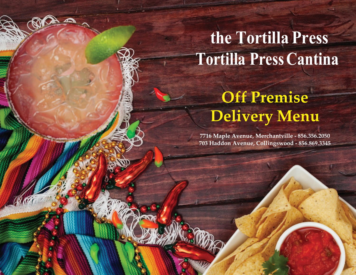# **the Tortilla Press Tortilla PressCantina**

# **Off Premise Delivery Menu**

**7716 Maple Avenue, Merchantville - 856.356.2050 703 Haddon Avenue, Collingswood - 856.869.3345**